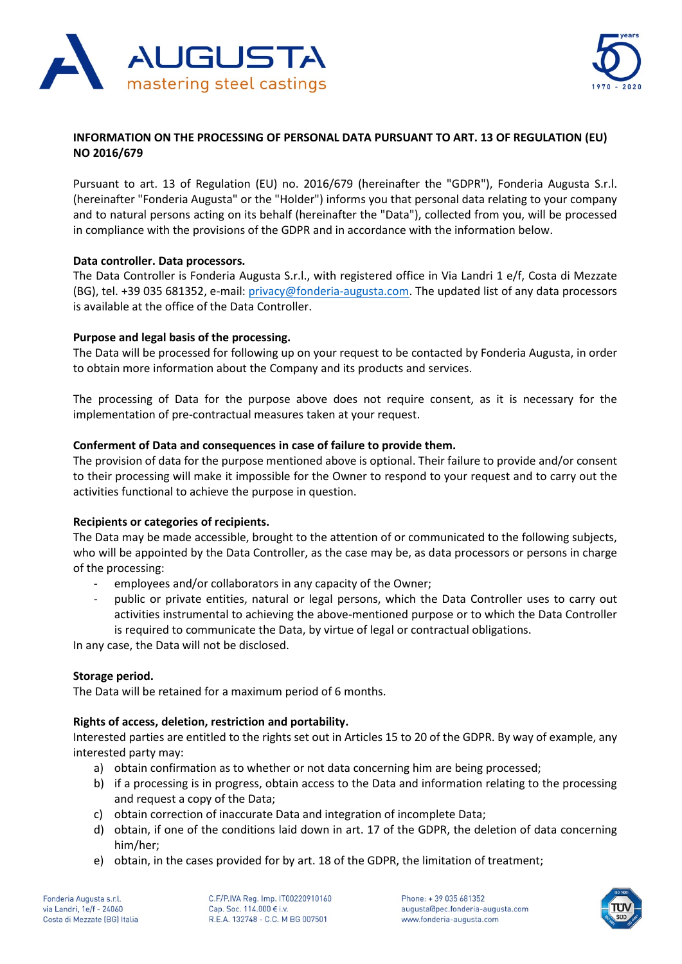



# **INFORMATION ON THE PROCESSING OF PERSONAL DATA PURSUANT TO ART. 13 OF REGULATION (EU) NO 2016/679**

Pursuant to art. 13 of Regulation (EU) no. 2016/679 (hereinafter the "GDPR"), Fonderia Augusta S.r.l. (hereinafter "Fonderia Augusta" or the "Holder") informs you that personal data relating to your company and to natural persons acting on its behalf (hereinafter the "Data"), collected from you, will be processed in compliance with the provisions of the GDPR and in accordance with the information below.

# **Data controller. Data processors.**

The Data Controller is Fonderia Augusta S.r.l., with registered office in Via Landri 1 e/f, Costa di Mezzate (BG), tel. +39 035 681352, e-mail: [privacy@fonderia-augusta.com.](mailto:privacy@fonderia-augusta.com) The updated list of any data processors is available at the office of the Data Controller.

# **Purpose and legal basis of the processing.**

The Data will be processed for following up on your request to be contacted by Fonderia Augusta, in order to obtain more information about the Company and its products and services.

The processing of Data for the purpose above does not require consent, as it is necessary for the implementation of pre-contractual measures taken at your request.

# **Conferment of Data and consequences in case of failure to provide them.**

The provision of data for the purpose mentioned above is optional. Their failure to provide and/or consent to their processing will make it impossible for the Owner to respond to your request and to carry out the activities functional to achieve the purpose in question.

### **Recipients or categories of recipients.**

The Data may be made accessible, brought to the attention of or communicated to the following subjects, who will be appointed by the Data Controller, as the case may be, as data processors or persons in charge of the processing:

- employees and/or collaborators in any capacity of the Owner;
- public or private entities, natural or legal persons, which the Data Controller uses to carry out activities instrumental to achieving the above-mentioned purpose or to which the Data Controller is required to communicate the Data, by virtue of legal or contractual obligations.

In any case, the Data will not be disclosed.

### **Storage period.**

The Data will be retained for a maximum period of 6 months.

# **Rights of access, deletion, restriction and portability.**

Interested parties are entitled to the rights set out in Articles 15 to 20 of the GDPR. By way of example, any interested party may:

- a) obtain confirmation as to whether or not data concerning him are being processed;
- b) if a processing is in progress, obtain access to the Data and information relating to the processing and request a copy of the Data;
- c) obtain correction of inaccurate Data and integration of incomplete Data;
- d) obtain, if one of the conditions laid down in art. 17 of the GDPR, the deletion of data concerning him/her;
- e) obtain, in the cases provided for by art. 18 of the GDPR, the limitation of treatment;

Fonderia Augusta s.r.l. via Landri, 1e/f - 24060 Costa di Mezzate (BG) Italia C.F/P.IVA Reg. Imp. IT00220910160 Cap. Soc. 114.000 € i.v. R.E.A. 132748 - C.C. M BG 007501

Phone: +39 035 681352 augusta@pec.fonderia-augusta.com www.fonderia-augusta.com